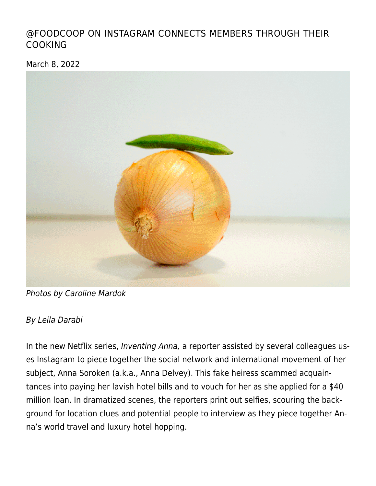# [@FOODCOOP ON INSTAGRAM CONNECTS MEMBERS THROUGH THEIR](https://linewaitersgazette.com/2022/03/08/foodcoop-on-instagram-connects-members-through-their-cooking/) [COOKING](https://linewaitersgazette.com/2022/03/08/foodcoop-on-instagram-connects-members-through-their-cooking/)

March 8, 2022



Photos by Caroline Mardok

### By Leila Darabi

In the new Netflix series, Inventing Anna, a reporter assisted by several colleagues uses Instagram to piece together the social network and international movement of her subject, Anna Soroken (a.k.a., Anna Delvey). This fake heiress scammed acquaintances into paying her lavish hotel bills and to vouch for her as she applied for a \$40 million loan. In dramatized scenes, the reporters print out selfies, scouring the background for location clues and potential people to interview as they piece together Anna's world travel and luxury hotel hopping.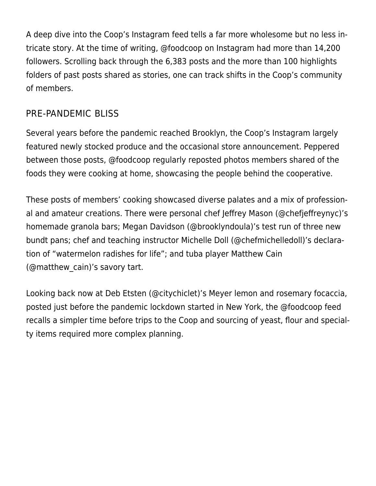A deep dive into the Coop's Instagram feed tells a far more wholesome but no less intricate story. At the time of writing, [@foodcoop](https://www.instagram.com/foodcoop/?hl=en) on Instagram had more than 14,200 followers. Scrolling back through the 6,383 posts and the more than 100 highlights folders of past posts shared as stories, one can track shifts in the Coop's community of members.

# PRE-PANDEMIC BLISS

Several years before the pandemic reached Brooklyn, the Coop's Instagram largely featured newly stocked produce and the occasional store announcement. Peppered between those posts, @foodcoop regularly reposted photos members shared of the foods they were cooking at home, showcasing the people behind the cooperative.

These posts of members' cooking showcased diverse palates and a mix of professional and amateur creations. There were personal chef Jeffrey Mason [\(@chefjeffreynyc\)](https://www.instagram.com/chefjeffreynyc/)'s [homemade granola bars;](https://www.instagram.com/p/Bo9pVKVBD9f/) Megan Davidson [\(@brooklyndoula](https://www.instagram.com/brooklyndoula/))'s test run of [three new](https://www.instagram.com/p/B9OxmsShdzw/) [bundt pans](https://www.instagram.com/p/B9OxmsShdzw/); chef and teaching instructor Michelle Doll ([@chefmichelledoll](https://www.instagram.com/chefmichelledoll/))'s declaration of ["watermelon radishes for life](https://www.instagram.com/p/B83nIH-BRrE/)"; and tuba player Matthew Cain [\(@matthew\\_cain\)](https://www.instagram.com/matthew_cain/)'s [savory tart.](https://www.instagram.com/p/B82b_7sheD5/)

Looking back now at Deb Etsten [\(@citychiclet](https://www.instagram.com/citychiclet/))'s Meyer lemon and rosemary focaccia, posted just before the pandemic lockdown started in New York, the @foodcoop feed recalls a simpler time before trips to the Coop and sourcing of yeast, flour and specialty items required more complex planning.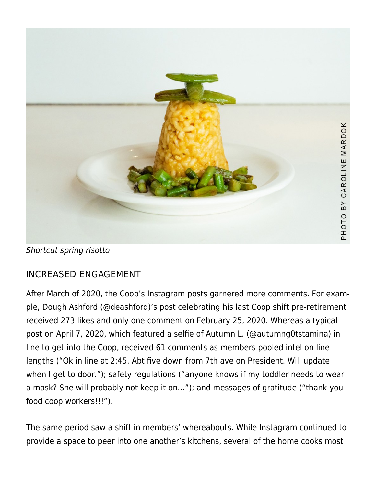

Shortcut spring risotto

# INCREASED ENGAGEMENT

After March of 2020, the Coop's Instagram posts garnered more comments. For example, [Dough Ashford \(@deashford\)'s post](https://www.instagram.com/p/B8_16MbhIJg/) celebrating his last Coop shift pre-retirement received 273 likes and only one comment on February 25, 2020. Whereas a typical post on April 7, 2020, which featured a [selfie of Autumn L. \(@autumng0tstamina\)](https://www.instagram.com/p/B-re36JjXHh/) in line to get into the Coop, received 61 comments as members pooled intel on line lengths ("Ok in line at 2:45. Abt five down from 7th ave on President. Will update when I get to door."); safety regulations ("anyone knows if my toddler needs to wear a mask? She will probably not keep it on…"); and messages of gratitude ("thank you food coop workers!!!").

The same period saw a shift in members' whereabouts. While Instagram continued to provide a space to peer into one another's kitchens, several of the home cooks most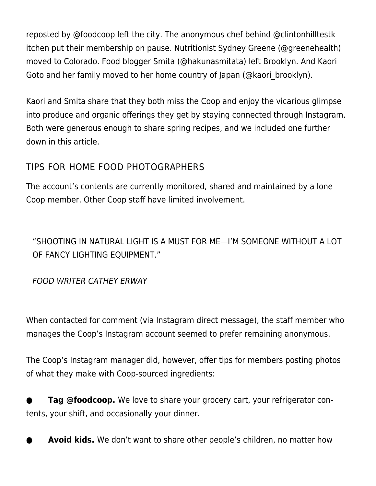reposted by @foodcoop left the city. The anonymous chef behind [@clintonhilltestk](https://www.instagram.com/clintonhilltestkitchen/?hl=en)[itchen](https://www.instagram.com/clintonhilltestkitchen/?hl=en) put their membership on pause. Nutritionist Sydney Greene [\(@greenehealth\)](https://www.instagram.com/greenehealth/?hl=en) moved to Colorado. Food blogger Smita [\(@hakunasmitata\)](https://www.instagram.com/hakunasmitata/?hl=en) left Brooklyn. And Kaori Goto and her family moved to her home country of Japan ([@kaori\\_brooklyn\)](https://www.instagram.com/kaori_brooklyn/?hl=en).

Kaori and Smita share that they both miss the Coop and enjoy the vicarious glimpse into produce and organic offerings they get by staying connected through Instagram. Both were generous enough to share spring recipes, and we included one further down in this article.

# TIPS FOR HOME FOOD PHOTOGRAPHERS

The account's contents are currently monitored, shared and maintained by a lone Coop member. Other Coop staff have limited involvement.

"SHOOTING IN NATURAL LIGHT IS A MUST FOR ME—I'M SOMEONE WITHOUT A LOT OF FANCY LIGHTING EQUIPMENT."

FOOD WRITER CATHEY ERWAY

When contacted for comment (via Instagram direct message), the staff member who manages the Coop's Instagram account seemed to prefer remaining anonymous.

The Coop's Instagram manager did, however, offer tips for members posting photos of what they make with Coop-sourced ingredients:

**Tag @foodcoop.** We love to share your grocery cart, your refrigerator contents, your shift, and occasionally your dinner.

**Avoid kids.** We don't want to share other people's children, no matter how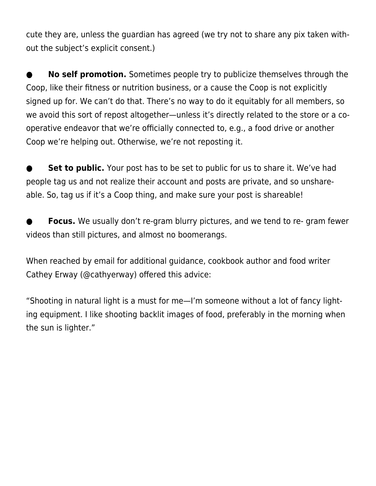cute they are, unless the guardian has agreed (we try not to share any pix taken without the subject's explicit consent.)

**No self promotion.** Sometimes people try to publicize themselves through the Coop, like their fitness or nutrition business, or a cause the Coop is not explicitly signed up for. We can't do that. There's no way to do it equitably for all members, so we avoid this sort of repost altogether—unless it's directly related to the store or a cooperative endeavor that we're officially connected to, e.g., a food drive or another Coop we're helping out. Otherwise, we're not reposting it.

**Set to public.** Your post has to be set to public for us to share it. We've had people tag us and not realize their account and posts are private, and so unshareable. So, tag us if it's a Coop thing, and make sure your post is shareable!

**Focus.** We usually don't re-gram blurry pictures, and we tend to re- gram fewer videos than still pictures, and almost no boomerangs.

When reached by email for additional guidance, cookbook author and food writer Cathey Erway [\(@cathyerway](https://www.instagram.com/cathyerway/?hl=en)) offered this advice:

"Shooting in natural light is a must for me—I'm someone without a lot of fancy lighting equipment. I like shooting backlit images of food, preferably in the morning when the sun is lighter."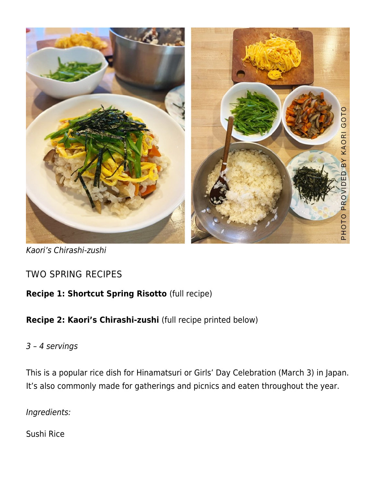

Kaori's Chirashi-zushi

# TWO SPRING RECIPES

## **Recipe 1: Shortcut Spring Risotto** ([full recipe](https://acuriouscook.com/recipes/spring-vegetable-risotto))

## **Recipe 2: Kaori's Chirashi-zushi** (full recipe printed below)

#### 3 – 4 servings

This is a popular rice dish for Hinamatsuri or Girls' Day Celebration (March 3) in Japan. It's also commonly made for gatherings and picnics and eaten throughout the year.

Ingredients:

Sushi Rice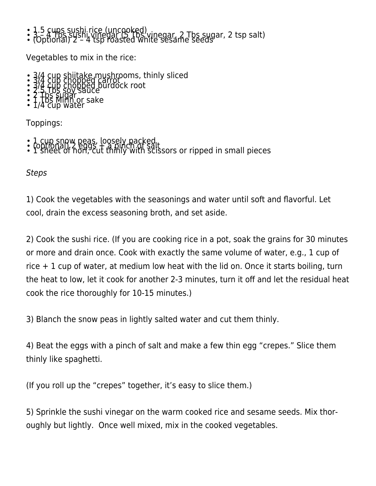• 1.5 cups sushi rice (uncooked)<br>• 3.5 cups sushi vinegar (5 Tbs vinegar, 2 Tbs sugar, 2 tsp salt)<br>• (Optional) 2 – 4 tsp roasted white sesame seeds

Vegetables to mix in the rice:

- 3/4 cup shiitake mushrooms, thinly sliced<br>3/4 cup chopped carrooms, thinly sliced<br>3/4 cup chopped burdock root<br>2.5 Tbs sugar<br>1 Tbs sugar 1 Suce
- 
- 
- 

Toppings:

- 
- 1 cup snow peas, loosely packed<br>• (optional) 2 eggs + a pinch of salt<br>• 1 sheet of nori, cut thinly with scissors or ripped in small pieces

**Steps** 

1) Cook the vegetables with the seasonings and water until soft and flavorful. Let cool, drain the excess seasoning broth, and set aside.

2) Cook the sushi rice. (If you are cooking rice in a pot, soak the grains for 30 minutes or more and drain once. Cook with exactly the same volume of water, e.g., 1 cup of rice  $+1$  cup of water, at medium low heat with the lid on. Once it starts boiling, turn the heat to low, let it cook for another 2-3 minutes, turn it off and let the residual heat cook the rice thoroughly for 10-15 minutes.)

3) Blanch the snow peas in lightly salted water and cut them thinly.

4) Beat the eggs with a pinch of salt and make a few thin egg "crepes." Slice them thinly like spaghetti.

(If you roll up the "crepes" together, it's easy to slice them.)

5) Sprinkle the sushi vinegar on the warm cooked rice and sesame seeds. Mix thoroughly but lightly. Once well mixed, mix in the cooked vegetables.